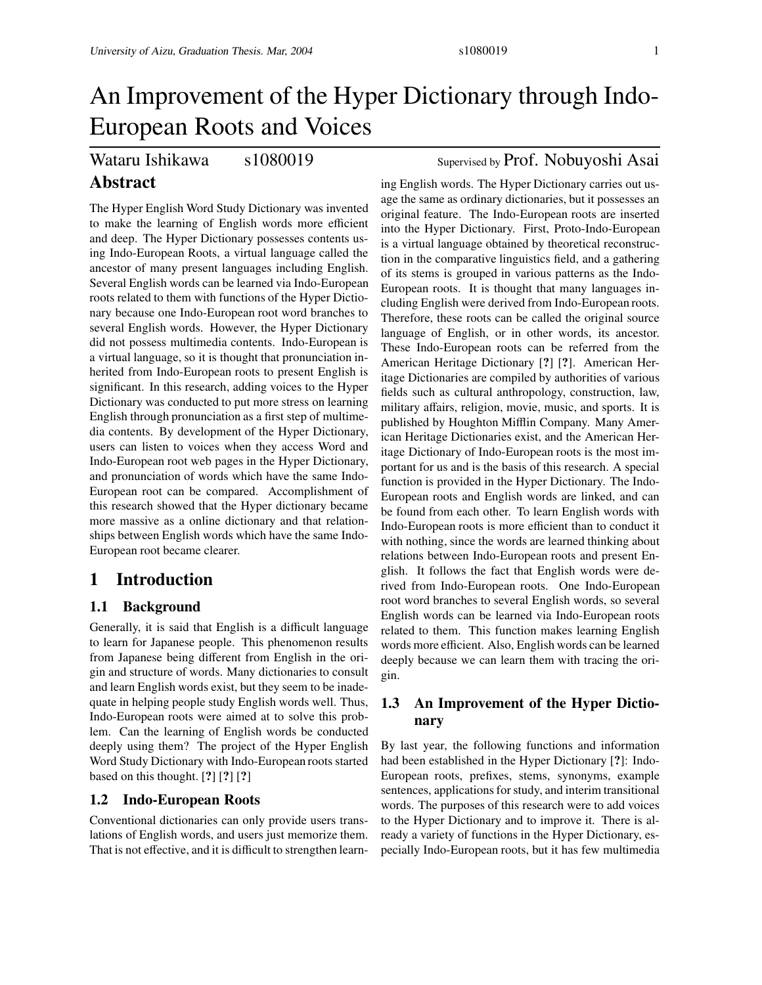# Wataru Ishikawa s1080019 Supervised by Prof. Nobuyoshi Asai

## **Abstract**

The Hyper English Word Study Dictionary was invented to make the learning of English words more efficient and deep. The Hyper Dictionary possesses contents using Indo-European Roots, a virtual language called the ancestor of many present languages including English. Several English words can be learned via Indo-European roots related to them with functions of the Hyper Dictionary because one Indo-European root word branches to several English words. However, the Hyper Dictionary did not possess multimedia contents. Indo-European is a virtual language, so it is thought that pronunciation inherited from Indo-European roots to present English is significant. In this research, adding voices to the Hyper Dictionary was conducted to put more stress on learning English through pronunciation as a first step of multimedia contents. By development of the Hyper Dictionary, users can listen to voices when they access Word and Indo-European root web pages in the Hyper Dictionary, and pronunciation of words which have the same Indo-European root can be compared. Accomplishment of this research showed that the Hyper dictionary became more massive as a online dictionary and that relationships between English words which have the same Indo-European root became clearer.

### **1 Introduction**

### **1.1 Background**

Generally, it is said that English is a difficult language to learn for Japanese people. This phenomenon results from Japanese being different from English in the origin and structure of words. Many dictionaries to consult and learn English words exist, but they seem to be inadequate in helping people study English words well. Thus, Indo-European roots were aimed at to solve this problem. Can the learning of English words be conducted deeply using them? The project of the Hyper English Word Study Dictionary with Indo-European roots started based on this thought. [**?**] [**?**] [**?**]

### **1.2 Indo-European Roots**

Conventional dictionaries can only provide users translations of English words, and users just memorize them. That is not effective, and it is difficult to strengthen learn-

ing English words. The Hyper Dictionary carries out usage the same as ordinary dictionaries, but it possesses an original feature. The Indo-European roots are inserted into the Hyper Dictionary. First, Proto-Indo-European is a virtual language obtained by theoretical reconstruction in the comparative linguistics field, and a gathering of its stems is grouped in various patterns as the Indo-European roots. It is thought that many languages including English were derived from Indo-European roots. Therefore, these roots can be called the original source language of English, or in other words, its ancestor. These Indo-European roots can be referred from the American Heritage Dictionary [**?**] [**?**]. American Heritage Dictionaries are compiled by authorities of various fields such as cultural anthropology, construction, law, military affairs, religion, movie, music, and sports. It is published by Houghton Mifflin Company. Many American Heritage Dictionaries exist, and the American Heritage Dictionary of Indo-European roots is the most important for us and is the basis of this research. A special function is provided in the Hyper Dictionary. The Indo-European roots and English words are linked, and can be found from each other. To learn English words with Indo-European roots is more efficient than to conduct it with nothing, since the words are learned thinking about relations between Indo-European roots and present English. It follows the fact that English words were derived from Indo-European roots. One Indo-European root word branches to several English words, so several English words can be learned via Indo-European roots related to them. This function makes learning English words more efficient. Also, English words can be learned deeply because we can learn them with tracing the origin.

### **1.3 An Improvement of the Hyper Dictionary**

By last year, the following functions and information had been established in the Hyper Dictionary [**?**]: Indo-European roots, prefixes, stems, synonyms, example sentences, applications for study, and interim transitional words. The purposes of this research were to add voices to the Hyper Dictionary and to improve it. There is already a variety of functions in the Hyper Dictionary, especially Indo-European roots, but it has few multimedia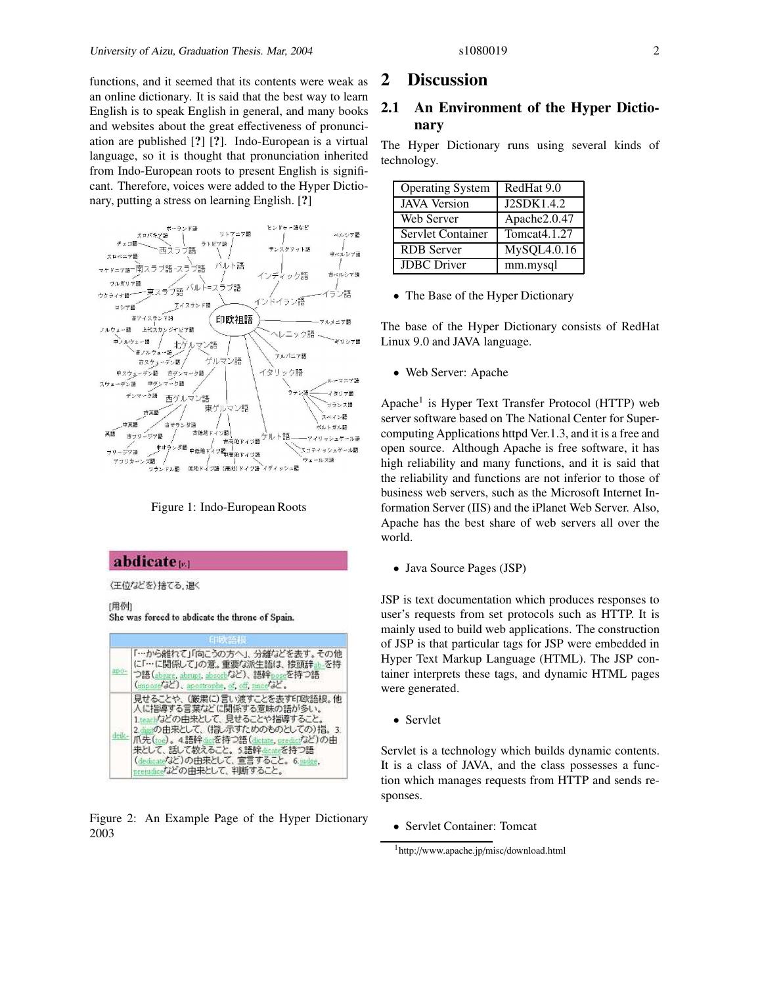functions, and it seemed that its contents were weak as an online dictionary. It is said that the best way to learn English is to speak English in general, and many books and websites about the great effectiveness of pronunciation are published [**?**] [**?**]. Indo-European is a virtual language, so it is thought that pronunciation inherited from Indo-European roots to present English is significant. Therefore, voices were added to the Hyper Dictionary, putting a stress on learning English. [**?**]



Figure 1: Indo-European Roots

### abdicate<sub>[81]</sub>

(王位などを)捨てる、退く

[用例] She was forced to abdicate the throne of Spain.



Figure 2: An Example Page of the Hyper Dictionary 2003

#### **2 Discussion**

### **2.1 An Environment of the Hyper Dictionary**

The Hyper Dictionary runs using several kinds of technology.

| <b>Operating System</b> | RedHat 9.0   |
|-------------------------|--------------|
| <b>JAVA</b> Version     | J2SDK1.4.2   |
| Web Server              | Apache2.0.47 |
| Servlet Container       | Tomcat4.1.27 |
| <b>RDB</b> Server       | MySQL4.0.16  |
| <b>JDBC</b> Driver      | mm.mysql     |

• The Base of the Hyper Dictionary

The base of the Hyper Dictionary consists of RedHat Linux 9.0 and JAVA language.

• Web Server: Apache

Apache<sup>1</sup> is Hyper Text Transfer Protocol (HTTP) web server software based on The National Center for Supercomputing Applications httpd Ver.1.3, and it is a free and open source. Although Apache is free software, it has high reliability and many functions, and it is said that the reliability and functions are not inferior to those of business web servers, such as the Microsoft Internet Information Server (IIS) and the iPlanet Web Server. Also, Apache has the best share of web servers all over the world.

• Java Source Pages (JSP)

JSP is text documentation which produces responses to user's requests from set protocols such as HTTP. It is mainly used to build web applications. The construction of JSP is that particular tags for JSP were embedded in Hyper Text Markup Language (HTML). The JSP container interprets these tags, and dynamic HTML pages were generated.

• Servlet

Servlet is a technology which builds dynamic contents. It is a class of JAVA, and the class possesses a function which manages requests from HTTP and sends responses.

• Servlet Container: Tomcat

<sup>1</sup> http://www.apache.jp/misc/download.html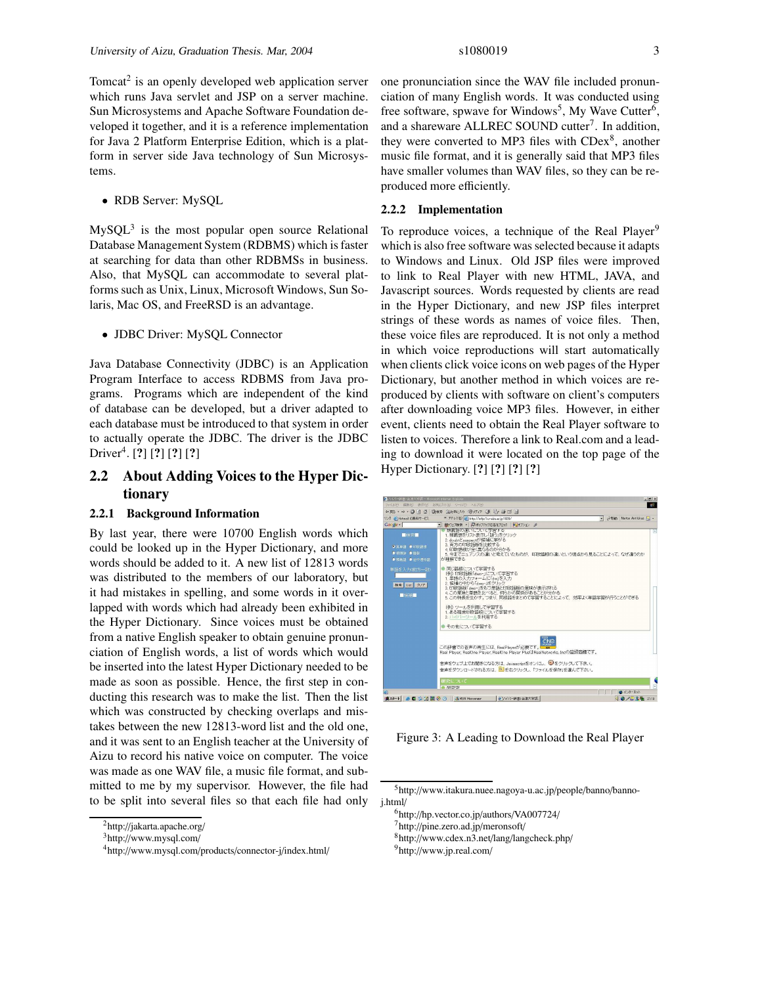Tomcat<sup>2</sup> is an openly developed web application server which runs Java servlet and JSP on a server machine. Sun Microsystems and Apache Software Foundation developed it together, and it is a reference implementation for Java 2 Platform Enterprise Edition, which is a platform in server side Java technology of Sun Microsystems.

• RDB Server: MySQL

 $MySQL<sup>3</sup>$  is the most popular open source Relational Database Management System (RDBMS) which is faster at searching for data than other RDBMSs in business. Also, that MySQL can accommodate to several platforms such as Unix, Linux, Microsoft Windows, Sun Solaris, Mac OS, and FreeRSD is an advantage.

• JDBC Driver: MySQL Connector

Java Database Connectivity (JDBC) is an Application Program Interface to access RDBMS from Java programs. Programs which are independent of the kind of database can be developed, but a driver adapted to each database must be introduced to that system in order to actually operate the JDBC. The driver is the JDBC Driver<sup>4</sup> . [**?**] [**?**] [**?**] [**?**]

### **2.2 About Adding Voices to the Hyper Dictionary**

#### **2.2.1 Background Information**

By last year, there were 10700 English words which could be looked up in the Hyper Dictionary, and more words should be added to it. A new list of 12813 words was distributed to the members of our laboratory, but it had mistakes in spelling, and some words in it overlapped with words which had already been exhibited in the Hyper Dictionary. Since voices must be obtained from a native English speaker to obtain genuine pronunciation of English words, a list of words which would be inserted into the latest Hyper Dictionary needed to be made as soon as possible. Hence, the first step in conducting this research was to make the list. Then the list which was constructed by checking overlaps and mistakes between the new 12813-word list and the old one, and it was sent to an English teacher at the University of Aizu to record his native voice on computer. The voice was made as one WAV file, a music file format, and submitted to me by my supervisor. However, the file had to be split into several files so that each file had only one pronunciation since the WAV file included pronunciation of many English words. It was conducted using free software, spwave for Windows<sup>5</sup>, My Wave Cutter<sup>6</sup>, and a shareware ALLREC SOUND cutter<sup>7</sup>. In addition, they were converted to MP3 files with CDex<sup>8</sup>, another music file format, and it is generally said that MP3 files have smaller volumes than WAV files, so they can be reproduced more efficiently.

#### **2.2.2 Implementation**

To reproduce voices, a technique of the Real Player<sup>9</sup> which is also free software was selected because it adapts to Windows and Linux. Old JSP files were improved to link to Real Player with new HTML, JAVA, and Javascript sources. Words requested by clients are read in the Hyper Dictionary, and new JSP files interpret strings of these words as names of voice files. Then, these voice files are reproduced. It is not only a method in which voice reproductions will start automatically when clients click voice icons on web pages of the Hyper Dictionary, but another method in which voices are reproduced by clients with software on client's computers after downloading voice MP3 files. However, in either event, clients need to obtain the Real Player software to listen to voices. Therefore a link to Real.com and a leading to download it were located on the top page of the Hyper Dictionary. [**?**] [**?**] [**?**] [**?**]



Figure 3: A Leading to Download the Real Player

 $^{2}$ http://jakarta.apache.org/

<sup>3</sup>http://www.mysql.com/

<sup>4</sup> http://www.mysql.com/products/connector-j/index.html/

<sup>5</sup>http://www.itakura.nuee.nagoya-u.ac.jp/people/banno/bannoj.html/

<sup>6</sup>http://hp.vector.co.jp/authors/VA007724/

<sup>7</sup>http://pine.zero.ad.jp/meronsoft/

<sup>8</sup>http://www.cdex.n3.net/lang/langcheck.php/

<sup>9</sup> http://www.jp.real.com/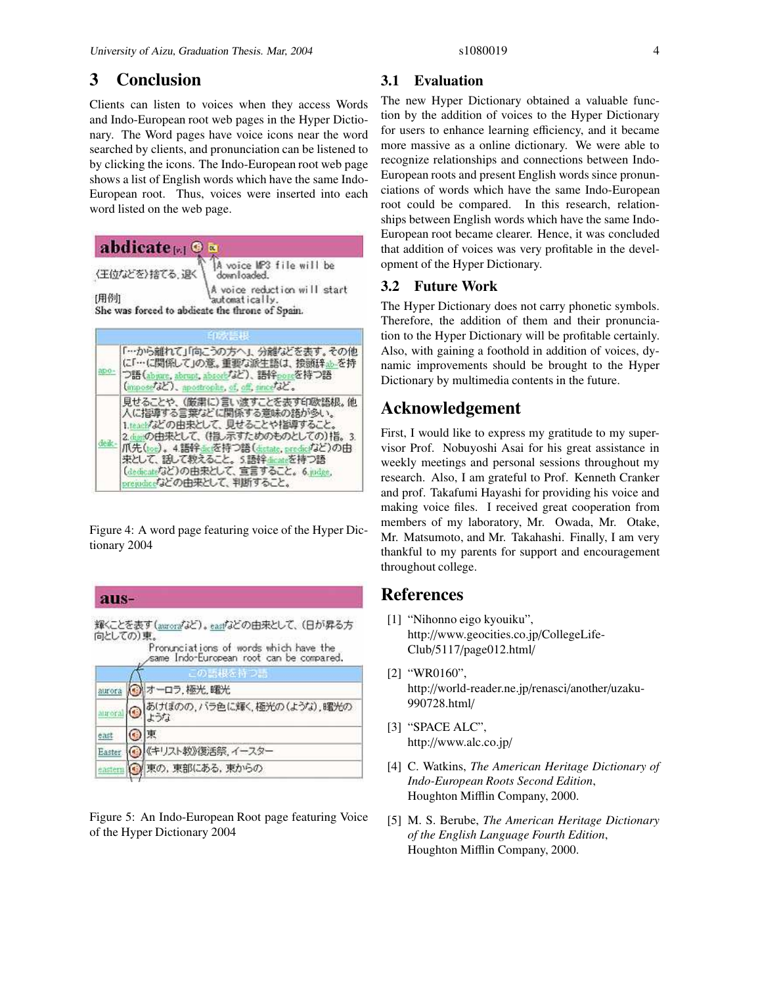## **3 Conclusion**

Clients can listen to voices when they access Words and Indo-European root web pages in the Hyper Dictionary. The Word pages have voice icons near the word searched by clients, and pronunciation can be listened to by clicking the icons. The Indo-European root web page shows a list of English words which have the same Indo-European root. Thus, voices were inserted into each word listed on the web page.

| abdicate $\mathbb{R}$ 10 |                                                                                                   |
|--------------------------|---------------------------------------------------------------------------------------------------|
| 〈王位などを〉捨てる、退く            | A voice MP3 file will be<br>downloaded.                                                           |
| [用例]                     | A voice reduction will start<br>automatically.<br>She was forced to abdieate the throne of Spain. |



Figure 4: A word page featuring voice of the Hyper Dictionary 2004

aus-輝くことを表す(aurorafaと)。easpfaとの由来として、(日が昇る方 向としての)東。 Pronunciations of words which have the same Indo-European root can be compared. の語根を ◎ オーロラ,極光,曙光 aurora あけぼのの、バラ色に輝く、極光の(ような)、曙光の ۰ aurora ような 東 ⊙ east  $_{\tiny \copyright}$ 《キリスト教》復活祭、イースター Easter

東の, 東部にある, 東からの eastern L.

Figure 5: An Indo-European Root page featuring Voice of the Hyper Dictionary 2004

#### **3.1 Evaluation**

The new Hyper Dictionary obtained a valuable function by the addition of voices to the Hyper Dictionary for users to enhance learning efficiency, and it became more massive as a online dictionary. We were able to recognize relationships and connections between Indo-European roots and present English words since pronunciations of words which have the same Indo-European root could be compared. In this research, relationships between English words which have the same Indo-European root became clearer. Hence, it was concluded that addition of voices was very profitable in the development of the Hyper Dictionary.

### **3.2 Future Work**

The Hyper Dictionary does not carry phonetic symbols. Therefore, the addition of them and their pronunciation to the Hyper Dictionary will be profitable certainly. Also, with gaining a foothold in addition of voices, dynamic improvements should be brought to the Hyper Dictionary by multimedia contents in the future.

## **Acknowledgement**

First, I would like to express my gratitude to my supervisor Prof. Nobuyoshi Asai for his great assistance in weekly meetings and personal sessions throughout my research. Also, I am grateful to Prof. Kenneth Cranker and prof. Takafumi Hayashi for providing his voice and making voice files. I received great cooperation from members of my laboratory, Mr. Owada, Mr. Otake, Mr. Matsumoto, and Mr. Takahashi. Finally, I am very thankful to my parents for support and encouragement throughout college.

### **References**

- [1] "Nihonno eigo kyouiku", http://www.geocities.co.jp/CollegeLife-Club/5117/page012.html/
- [2] "WR0160", http://world-reader.ne.jp/renasci/another/uzaku-990728.html/
- [3] "SPACE ALC", http://www.alc.co.jp/
- [4] C. Watkins, *The American Heritage Dictionary of Indo-European Roots Second Edition*, Houghton Mifflin Company, 2000.
- [5] M. S. Berube, *The American Heritage Dictionary of the English Language Fourth Edition*, Houghton Mifflin Company, 2000.